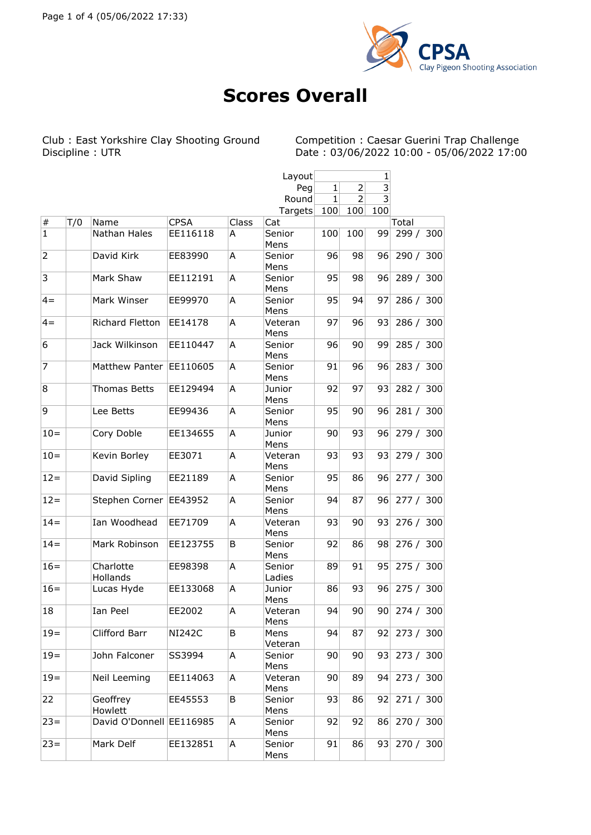

## **Scores Overall**

Club : East Yorkshire Clay Shooting Ground Competition : Caesar Guerini Trap Challenge

Discipline : UTR Date : 03/06/2022 10:00 - 05/06/2022 17:00

|                |     |                          |               |       | Layout           | 1            |                 |     |           |  |
|----------------|-----|--------------------------|---------------|-------|------------------|--------------|-----------------|-----|-----------|--|
|                |     |                          |               |       | Peg              | $\mathbf{1}$ | $\overline{2}$  | 3   |           |  |
|                |     |                          |               |       | Round            | 1            | $\overline{2}$  | 3   |           |  |
|                |     |                          |               |       | Targets          | 100          | 100             | 100 |           |  |
| $\vert \#$     | T/0 | Name                     | <b>CPSA</b>   | Class | Cat              |              |                 |     | Total     |  |
| $\vert$ 1      |     | Nathan Hales             | EE116118      | A     | Senior           | 100          | 100             | 99  | 299 / 300 |  |
| $\overline{2}$ |     | David Kirk               | EE83990       | A     | Mens<br>Senior   | 96           | 98              | 96  | 290 / 300 |  |
| 3              |     |                          | EE112191      |       | Mens             |              |                 |     |           |  |
|                |     | Mark Shaw                |               | A     | Senior<br>Mens   | 95           | 98              | 96  | 289 / 300 |  |
| $4 =$          |     | Mark Winser              | EE99970       | A     | Senior<br>Mens   | 95           | 94              | 97  | 286 / 300 |  |
| $4 =$          |     | Richard Fletton          | EE14178       | Α     | Veteran<br>Mens  | 97           | 96              | 93  | 286 / 300 |  |
| 6              |     | Jack Wilkinson           | EE110447      | A     | Senior<br>Mens   | 96           | 90              | 99  | 285 / 300 |  |
| 7              |     | Matthew Panter           | EE110605      | Α     | Senior<br>Mens   | 91           | 96              | 96  | 283 / 300 |  |
| 8              |     | <b>Thomas Betts</b>      | EE129494      | A     | Junior<br>Mens   | 92           | 97              | 93  | 282 / 300 |  |
| 9              |     | Lee Betts                | EE99436       | Α     | Senior<br>Mens   | 95           | 90 <sup>°</sup> | 96  | 281 / 300 |  |
| $10 =$         |     | Cory Doble               | EE134655      | A     | Junior<br>Mens   | 90           | 93              | 96  | 279 / 300 |  |
| $10 =$         |     | Kevin Borley             | EE3071        | A     | Veteran<br>Mens  | 93           | 93              | 93  | 279 / 300 |  |
| $12 =$         |     | David Sipling            | EE21189       | А     | Senior<br>Mens   | 95           | 86              | 96  | 277 / 300 |  |
| $12 =$         |     | Stephen Corner           | EE43952       | A     | Senior<br>Mens   | 94           | 87              | 96  | 277 / 300 |  |
| $14=$          |     | Ian Woodhead             | EE71709       | A     | Veteran<br>Mens  | 93           | 90              | 93  | 276 / 300 |  |
| $14 =$         |     | Mark Robinson            | EE123755      | B     | Senior<br>Mens   | 92           | 86              | 98  | 276 / 300 |  |
| $16=$          |     | Charlotte<br>Hollands    | EE98398       | A     | Senior<br>Ladies | 89           | 91              | 95  | 275 / 300 |  |
| $16=$          |     | Lucas Hyde               | EE133068      | A     | Junior<br>Mens   | 86           | 93              | 96  | 275 / 300 |  |
| 18             |     | Ian Peel                 | EE2002        | Α     | Veteran<br>Mens  | 94           | 90              | 90  | 274 / 300 |  |
| $19 =$         |     | Clifford Barr            | <b>NI242C</b> | B     | Mens<br>Veteran  | 94           | 87              | 92  | 273 / 300 |  |
| $19 =$         |     | John Falconer            | SS3994        | Α     | Senior<br>Mens   | 90           | 90              | 93  | 273 / 300 |  |
| $19 =$         |     | Neil Leeming             | EE114063      | Α     | Veteran<br>Mens  | 90           | 89              | 94  | 273 / 300 |  |
| 22             |     | Geoffrey<br>Howlett      | EE45553       | B     | Senior<br>Mens   | 93           | 86              | 92  | 271 / 300 |  |
| $ 23=$         |     | David O'Donnell EE116985 |               | Α     | Senior<br>Mens   | 92           | 92              | 86  | 270 / 300 |  |
| $23 =$         |     | Mark Delf                | EE132851      | А     | Senior<br>Mens   | 91           | 86              | 93  | 270 / 300 |  |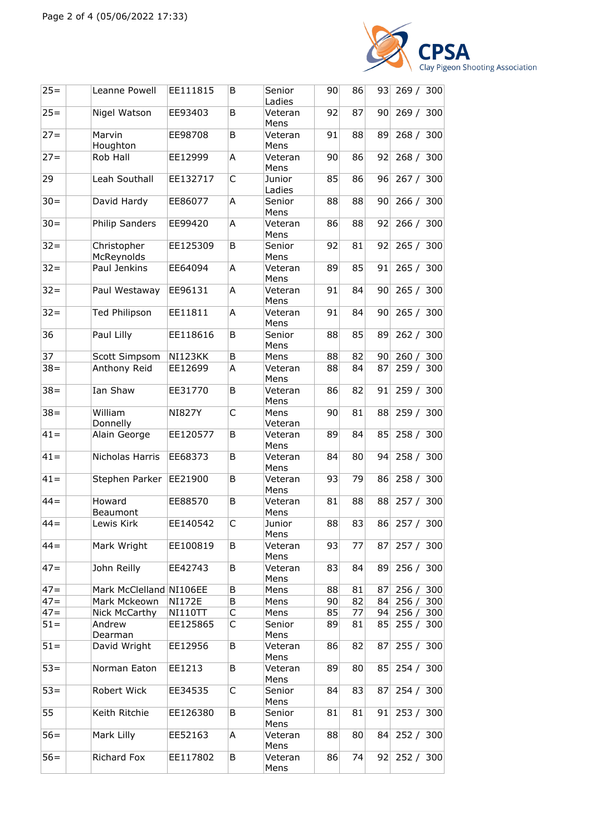

| $25 =$ | Leanne Powell             | EE111815       | B | Senior<br>Ladies | 90 | 86 | 93 | 269 / 300 |     |
|--------|---------------------------|----------------|---|------------------|----|----|----|-----------|-----|
| $25 =$ | Nigel Watson              | EE93403        | B | Veteran<br>Mens  | 92 | 87 | 90 | 269 / 300 |     |
| $27 =$ | Marvin<br>Houghton        | EE98708        | B | Veteran<br>Mens  | 91 | 88 | 89 | 268 / 300 |     |
| $27 =$ | Rob Hall                  | EE12999        | A | Veteran<br>Mens  | 90 | 86 | 92 | 268 / 300 |     |
| 29     | Leah Southall             | EE132717       | C | Junior<br>Ladies | 85 | 86 | 96 | 267 / 300 |     |
| $30 =$ | David Hardy               | EE86077        | A | Senior<br>Mens   | 88 | 88 | 90 | 266 / 300 |     |
| $30 =$ | <b>Philip Sanders</b>     | EE99420        | Α | Veteran<br>Mens  | 86 | 88 | 92 | 266 / 300 |     |
| $32 =$ | Christopher<br>McReynolds | EE125309       | B | Senior<br>Mens   | 92 | 81 | 92 | 265 / 300 |     |
| $32 =$ | Paul Jenkins              | EE64094        | Α | Veteran<br>Mens  | 89 | 85 | 91 | 265 / 300 |     |
| $32 =$ | Paul Westaway             | EE96131        | Α | Veteran<br>Mens  | 91 | 84 | 90 | 265 / 300 |     |
| $32 =$ | <b>Ted Philipson</b>      | EE11811        | Α | Veteran<br>Mens  | 91 | 84 | 90 | 265 / 300 |     |
| 36     | Paul Lilly                | EE118616       | B | Senior<br>Mens   | 88 | 85 | 89 | 262 / 300 |     |
| 37     | Scott Simpsom             | <b>NI123KK</b> | B | Mens             | 88 | 82 | 90 | 260/      | 300 |
| $38 =$ | Anthony Reid              | EE12699        | Α | Veteran<br>Mens  | 88 | 84 | 87 | 259 / 300 |     |
| $38 =$ | Ian Shaw                  | EE31770        | B | Veteran<br>Mens  | 86 | 82 | 91 | 259/      | 300 |
| $38 =$ | William<br>Donnelly       | <b>NI827Y</b>  | C | Mens<br>Veteran  | 90 | 81 | 88 | 259 / 300 |     |
| $41 =$ | Alain George              | EE120577       | B | Veteran<br>Mens  | 89 | 84 | 85 | 258 / 300 |     |
| $41 =$ | Nicholas Harris           | EE68373        | B | Veteran<br>Mens  | 84 | 80 | 94 | 258 / 300 |     |
| $41 =$ | Stephen Parker            | EE21900        | B | Veteran<br>Mens  | 93 | 79 | 86 | 258 / 300 |     |
| $44 =$ | Howard<br>Beaumont        | EE88570        | B | Veteran<br>Mens  | 81 | 88 | 88 | 257 / 300 |     |
| $44 =$ | Lewis Kirk                | EE140542       | C | Junior<br>Mens   | 88 | 83 | 86 | 257 / 300 |     |
| $44 =$ | Mark Wright               | EE100819       | B | Veteran<br>Mens  | 93 | 77 | 87 | 257 / 300 |     |
| $47 =$ | John Reilly               | EE42743        | B | Veteran<br>Mens  | 83 | 84 | 89 | 256 / 300 |     |
| $47=$  | Mark McClelland NI106EE   |                | В | Mens             | 88 | 81 | 87 | 256/      | 300 |
| $47 =$ | Mark Mckeown              | <b>NI172E</b>  | B | Mens             | 90 | 82 | 84 | 256/      | 300 |
| $47 =$ | Nick McCarthy             | NI110TT        | С | Mens             | 85 | 77 | 94 | 256/      | 300 |
| $51 =$ | Andrew<br>Dearman         | EE125865       | C | Senior<br>Mens   | 89 | 81 | 85 | 255 / 300 |     |
| $51 =$ | David Wright              | EE12956        | В | Veteran<br>Mens  | 86 | 82 | 87 | 255 / 300 |     |
| $53 =$ | Norman Eaton              | EE1213         | B | Veteran<br>Mens  | 89 | 80 | 85 | 254 / 300 |     |
| $53 =$ | Robert Wick               | EE34535        | С | Senior<br>Mens   | 84 | 83 | 87 | 254 / 300 |     |
| 55     | Keith Ritchie             | EE126380       | В | Senior<br>Mens   | 81 | 81 | 91 | 253 / 300 |     |
| $56 =$ | Mark Lilly                | EE52163        | Α | Veteran<br>Mens  | 88 | 80 | 84 | 252 / 300 |     |
| $56=$  | Richard Fox               | EE117802       | B | Veteran<br>Mens  | 86 | 74 | 92 | 252 / 300 |     |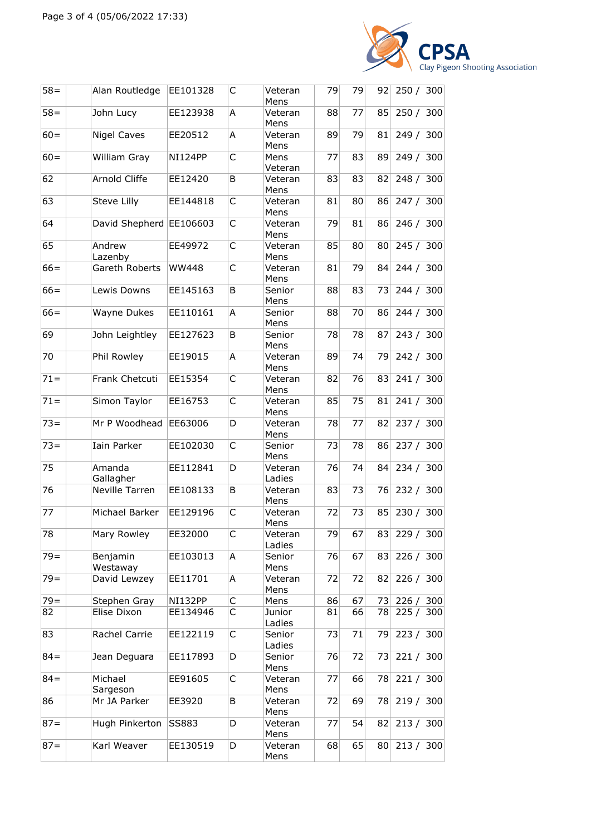

| $58 =$ | Alan Routledge          | EE101328       | С | Veteran<br>Mens   | 79 | 79 | 92              | 250 / 300 |  |
|--------|-------------------------|----------------|---|-------------------|----|----|-----------------|-----------|--|
| $58 =$ | John Lucy               | EE123938       | A | Veteran<br>Mens   | 88 | 77 | 85              | 250 / 300 |  |
| $60 =$ | <b>Nigel Caves</b>      | EE20512        | A | Veteran<br>Mens   | 89 | 79 | 81              | 249 / 300 |  |
| $60 =$ | William Gray            | <b>NI124PP</b> | C | Mens<br>Veteran   | 77 | 83 | 89              | 249 / 300 |  |
| 62     | Arnold Cliffe           | EE12420        | B | Veteran<br>Mens   | 83 | 83 | 82              | 248 / 300 |  |
| 63     | Steve Lilly             | EE144818       | С | Veteran<br>Mens   | 81 | 80 | 86              | 247 / 300 |  |
| 64     | David Shepherd EE106603 |                | C | Veteran<br>Mens   | 79 | 81 | 86              | 246 / 300 |  |
| 65     | Andrew<br>Lazenby       | EE49972        | C | Veteran<br>Mens   | 85 | 80 | 80              | 245 / 300 |  |
| $66=$  | Gareth Roberts          | <b>WW448</b>   | С | Veteran<br>Mens   | 81 | 79 | 84              | 244 / 300 |  |
| $66 =$ | Lewis Downs             | EE145163       | B | Senior<br>Mens    | 88 | 83 | 73              | 244 / 300 |  |
| $66 =$ | Wayne Dukes             | EE110161       | A | Senior<br>Mens    | 88 | 70 | 86              | 244 / 300 |  |
| 69     | John Leightley          | EE127623       | B | Senior<br>Mens    | 78 | 78 | 87              | 243 / 300 |  |
| 70     | Phil Rowley             | EE19015        | A | Veteran<br>Mens   | 89 | 74 | 79              | 242 / 300 |  |
| $71 =$ | Frank Chetcuti          | EE15354        | C | Veteran<br>Mens   | 82 | 76 | 83              | 241 / 300 |  |
| $71 =$ | Simon Taylor            | EE16753        | C | Veteran<br>Mens   | 85 | 75 | 81              | 241 / 300 |  |
| $73 =$ | Mr P Woodhead           | EE63006        | D | Veteran<br>Mens   | 78 | 77 | 82              | 237 / 300 |  |
| $73 =$ | Iain Parker             | EE102030       | С | Senior<br>Mens    | 73 | 78 | 86              | 237 / 300 |  |
| 75     | Amanda<br>Gallagher     | EE112841       | D | Veteran<br>Ladies | 76 | 74 | 84              | 234 / 300 |  |
| 76     | Neville Tarren          | EE108133       | В | Veteran<br>Mens   | 83 | 73 | 76              | 232 / 300 |  |
| 77     | Michael Barker          | EE129196       | С | Veteran<br>Mens   | 72 | 73 | 85              | 230 / 300 |  |
| 78     | Mary Rowley             | EE32000        | С | Veteran<br>Ladies | 79 | 67 | 83              | 229 / 300 |  |
| $79 =$ | Benjamin<br>Westaway    | EE103013       | А | Senior<br>Mens    | 76 | 67 | 83              | 226 / 300 |  |
| $79 =$ | David Lewzey            | EE11701        | А | Veteran<br>Mens   | 72 | 72 | 82              | 226 / 300 |  |
| $79 =$ | Stephen Gray            | <b>NI132PP</b> | С | Mens              | 86 | 67 | 73              | 226 / 300 |  |
| 82     | Elise Dixon             | EE134946       | С | Junior<br>Ladies  | 81 | 66 | 78              | 225 / 300 |  |
| 83     | Rachel Carrie           | EE122119       | С | Senior<br>Ladies  | 73 | 71 | 79              | 223 / 300 |  |
| $84 =$ | Jean Deguara            | EE117893       | D | Senior<br>Mens    | 76 | 72 | 73              | 221 / 300 |  |
| $84 =$ | Michael<br>Sargeson     | EE91605        | С | Veteran<br>Mens   | 77 | 66 | 78              | 221 / 300 |  |
| 86     | Mr JA Parker            | EE3920         | В | Veteran<br>Mens   | 72 | 69 | 78              | 219 / 300 |  |
| $87 =$ | Hugh Pinkerton          | SS883          | D | Veteran<br>Mens   | 77 | 54 | 82              | 213 / 300 |  |
| $87 =$ | Karl Weaver             | EE130519       | D | Veteran<br>Mens   | 68 | 65 | 80 <sup>°</sup> | 213 / 300 |  |